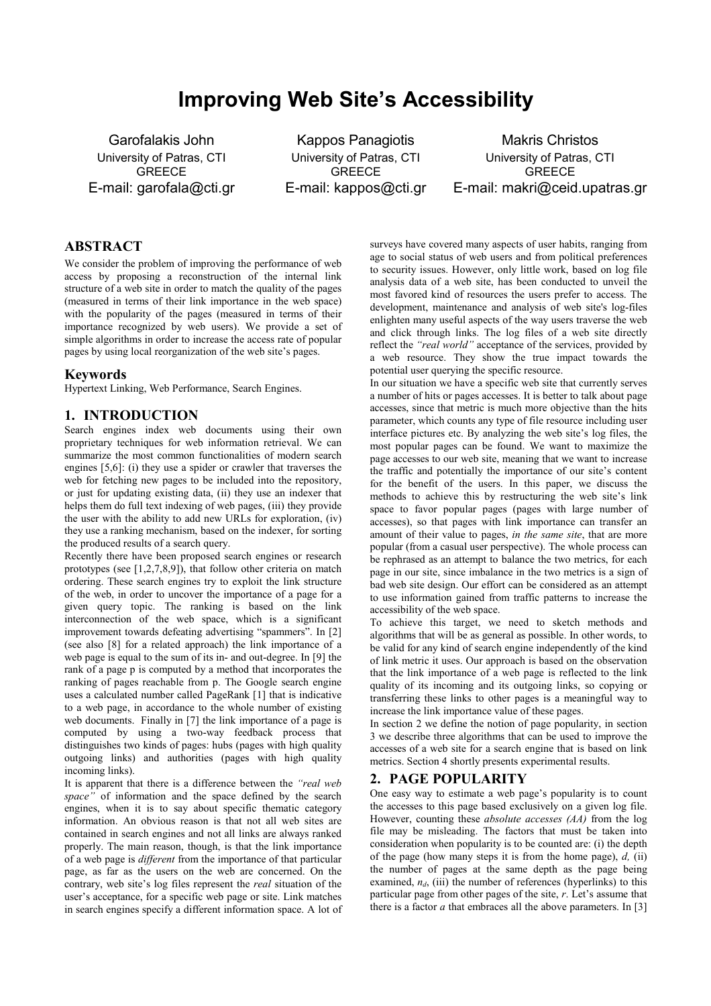# **Improving Web Site's Accessibility**

Garofalakis John University of Patras, CTI GREECE E-mail: garofala@cti.gr

Kappos Panagiotis University of Patras, CTI **GREECE** E-mail: kappos@cti.gr

Makris Christos University of Patras, CTI **GREECE** E-mail: makri@ceid.upatras.gr

# **ABSTRACT**

We consider the problem of improving the performance of web access by proposing a reconstruction of the internal link structure of a web site in order to match the quality of the pages (measured in terms of their link importance in the web space) with the popularity of the pages (measured in terms of their importance recognized by web users). We provide a set of simple algorithms in order to increase the access rate of popular pages by using local reorganization of the web site's pages.

### **Keywords**

Hypertext Linking, Web Performance, Search Engines.

## **1. INTRODUCTION**

Search engines index web documents using their own proprietary techniques for web information retrieval. We can summarize the most common functionalities of modern search engines [5,6]: (i) they use a spider or crawler that traverses the web for fetching new pages to be included into the repository. or just for updating existing data, (ii) they use an indexer that helps them do full text indexing of web pages, (iii) they provide the user with the ability to add new URLs for exploration, (iv) they use a ranking mechanism, based on the indexer, for sorting the produced results of a search query.

Recently there have been proposed search engines or research prototypes (see [1,2,7,8,9]), that follow other criteria on match ordering. These search engines try to exploit the link structure of the web, in order to uncover the importance of a page for a given query topic. The ranking is based on the link interconnection of the web space, which is a significant improvement towards defeating advertising "spammers". In [2] (see also [8] for a related approach) the link importance of a web page is equal to the sum of its in- and out-degree. In [9] the rank of a page p is computed by a method that incorporates the ranking of pages reachable from p. The Google search engine uses a calculated number called PageRank [1] that is indicative to a web page, in accordance to the whole number of existing web documents. Finally in [7] the link importance of a page is computed by using a two-way feedback process that distinguishes two kinds of pages: hubs (pages with high quality outgoing links) and authorities (pages with high quality incoming links).

It is apparent that there is a difference between the *"real web space*<sup>"</sup> of information and the space defined by the search engines, when it is to say about specific thematic category information. An obvious reason is that not all web sites are contained in search engines and not all links are always ranked properly. The main reason, though, is that the link importance of a web page is *different* from the importance of that particular page, as far as the users on the web are concerned. On the contrary, web site's log files represent the *real* situation of the user's acceptance, for a specific web page or site. Link matches in search engines specify a different information space. A lot of surveys have covered many aspects of user habits, ranging from age to social status of web users and from political preferences to security issues. However, only little work, based on log file analysis data of a web site, has been conducted to unveil the most favored kind of resources the users prefer to access. The development, maintenance and analysis of web site's log-files enlighten many useful aspects of the way users traverse the web and click through links. The log files of a web site directly reflect the *"real world"* acceptance of the services, provided by a web resource. They show the true impact towards the potential user querying the specific resource.

In our situation we have a specific web site that currently serves a number of hits or pages accesses. It is better to talk about page accesses, since that metric is much more objective than the hits parameter, which counts any type of file resource including user interface pictures etc. By analyzing the web site's log files, the most popular pages can be found. We want to maximize the page accesses to our web site, meaning that we want to increase the traffic and potentially the importance of our site's content for the benefit of the users. In this paper, we discuss the methods to achieve this by restructuring the web site's link space to favor popular pages (pages with large number of accesses), so that pages with link importance can transfer an amount of their value to pages, *in the same site*, that are more popular (from a casual user perspective). The whole process can be rephrased as an attempt to balance the two metrics, for each page in our site, since imbalance in the two metrics is a sign of bad web site design. Our effort can be considered as an attempt to use information gained from traffic patterns to increase the accessibility of the web space.

To achieve this target, we need to sketch methods and algorithms that will be as general as possible. In other words, to be valid for any kind of search engine independently of the kind of link metric it uses. Our approach is based on the observation that the link importance of a web page is reflected to the link quality of its incoming and its outgoing links, so copying or transferring these links to other pages is a meaningful way to increase the link importance value of these pages.

In section 2 we define the notion of page popularity, in section 3 we describe three algorithms that can be used to improve the accesses of a web site for a search engine that is based on link metrics. Section 4 shortly presents experimental results.

# **2. PAGE POPULARITY**

One easy way to estimate a web page's popularity is to count the accesses to this page based exclusively on a given log file. However, counting these *absolute accesses (AA)* from the log file may be misleading. The factors that must be taken into consideration when popularity is to be counted are: (i) the depth of the page (how many steps it is from the home page), *d,* (ii) the number of pages at the same depth as the page being examined,  $n_d$ , (iii) the number of references (hyperlinks) to this particular page from other pages of the site, *r*. Let's assume that there is a factor  $a$  that embraces all the above parameters. In [3]